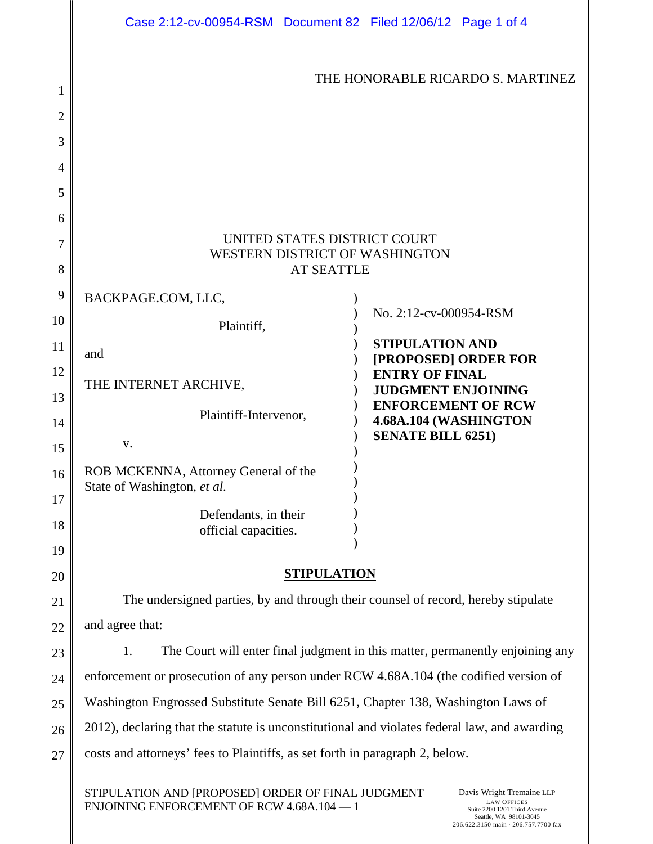|    | Case 2:12-cv-00954-RSM  Document 82  Filed 12/06/12  Page 1 of 4                                 |                                                    |  |
|----|--------------------------------------------------------------------------------------------------|----------------------------------------------------|--|
| 1  |                                                                                                  | THE HONORABLE RICARDO S. MARTINEZ                  |  |
| 2  |                                                                                                  |                                                    |  |
| 3  |                                                                                                  |                                                    |  |
| 4  |                                                                                                  |                                                    |  |
| 5  |                                                                                                  |                                                    |  |
| 6  |                                                                                                  |                                                    |  |
| 7  | UNITED STATES DISTRICT COURT                                                                     |                                                    |  |
| 8  | WESTERN DISTRICT OF WASHINGTON<br><b>AT SEATTLE</b>                                              |                                                    |  |
| 9  |                                                                                                  |                                                    |  |
| 10 | BACKPAGE.COM, LLC,                                                                               | No. 2:12-cv-000954-RSM                             |  |
| 11 | Plaintiff,                                                                                       | <b>STIPULATION AND</b>                             |  |
| 12 | and                                                                                              | [PROPOSED] ORDER FOR<br><b>ENTRY OF FINAL</b>      |  |
| 13 | THE INTERNET ARCHIVE,                                                                            | <b>JUDGMENT ENJOINING</b>                          |  |
| 14 | Plaintiff-Intervenor,                                                                            | <b>ENFORCEMENT OF RCW</b><br>4.68A.104 (WASHINGTON |  |
| 15 | V.                                                                                               | <b>SENATE BILL 6251)</b>                           |  |
| 16 | ROB MCKENNA, Attorney General of the<br>State of Washington, et al.                              |                                                    |  |
| 17 | Defendants, in their                                                                             |                                                    |  |
| 18 | official capacities.                                                                             |                                                    |  |
| 19 |                                                                                                  |                                                    |  |
| 20 | <b>STIPULATION</b>                                                                               |                                                    |  |
| 21 | The undersigned parties, by and through their counsel of record, hereby stipulate                |                                                    |  |
| 22 | and agree that:<br>The Court will enter final judgment in this matter, permanently enjoining any |                                                    |  |
| 23 | 1.                                                                                               |                                                    |  |
| 24 | enforcement or prosecution of any person under RCW 4.68A.104 (the codified version of            |                                                    |  |
| 25 | Washington Engrossed Substitute Senate Bill 6251, Chapter 138, Washington Laws of                |                                                    |  |
| 26 | 2012), declaring that the statute is unconstitutional and violates federal law, and awarding     |                                                    |  |
| 27 | costs and attorneys' fees to Plaintiffs, as set forth in paragraph 2, below.                     |                                                    |  |
|    | STIPULATION AND [PROPOSED] ORDER OF FINAL JUDGMENT                                               | Davis Wright Tremaine LLP                          |  |

ENJOINING ENFORCEMENT OF RCW 4.68A.104 — 1

I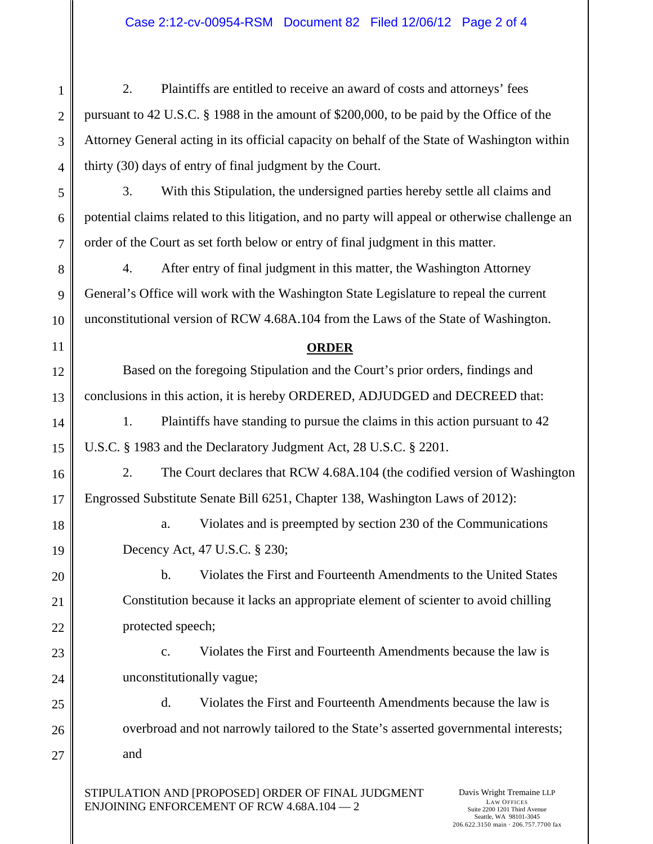2. Plaintiffs are entitled to receive an award of costs and attorneys' fees pursuant to 42 U.S.C. § 1988 in the amount of \$200,000, to be paid by the Office of the Attorney General acting in its official capacity on behalf of the State of Washington within thirty (30) days of entry of final judgment by the Court.

1

2

3

4

5

6

7

8

9

10

11

12

13

14

15

16

17

18

19

20

21

22

23

24

25

26

27

3. With this Stipulation, the undersigned parties hereby settle all claims and potential claims related to this litigation, and no party will appeal or otherwise challenge an order of the Court as set forth below or entry of final judgment in this matter.

4. After entry of final judgment in this matter, the Washington Attorney General's Office will work with the Washington State Legislature to repeal the current unconstitutional version of RCW 4.68A.104 from the Laws of the State of Washington.

## **ORDER**

Based on the foregoing Stipulation and the Court's prior orders, findings and conclusions in this action, it is hereby ORDERED, ADJUDGED and DECREED that:

1. Plaintiffs have standing to pursue the claims in this action pursuant to 42 U.S.C. § 1983 and the Declaratory Judgment Act, 28 U.S.C. § 2201.

2. The Court declares that RCW 4.68A.104 (the codified version of Washington Engrossed Substitute Senate Bill 6251, Chapter 138, Washington Laws of 2012):

a. Violates and is preempted by section 230 of the Communications Decency Act, 47 U.S.C. § 230;

b. Violates the First and Fourteenth Amendments to the United States Constitution because it lacks an appropriate element of scienter to avoid chilling protected speech;

c. Violates the First and Fourteenth Amendments because the law is unconstitutionally vague;

d. Violates the First and Fourteenth Amendments because the law is overbroad and not narrowly tailored to the State's asserted governmental interests; and

STIPULATION AND [PROPOSED] ORDER OF FINAL JUDGMENT ENJOINING ENFORCEMENT OF RCW 4.68A.104 — 2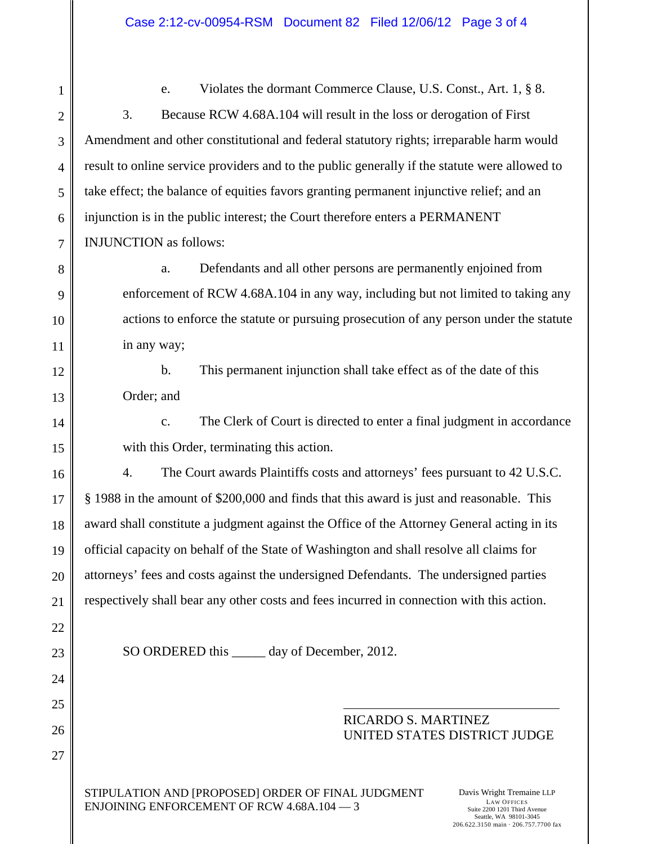1 2 3 4 5 6 7 8 9 10 11 12 13 14 15 16 17 18 19 20 21 22 23 24 25 26 27 e. Violates the dormant Commerce Clause, U.S. Const., Art. 1, § 8. 3. Because RCW 4.68A.104 will result in the loss or derogation of First Amendment and other constitutional and federal statutory rights; irreparable harm would result to online service providers and to the public generally if the statute were allowed to take effect; the balance of equities favors granting permanent injunctive relief; and an injunction is in the public interest; the Court therefore enters a PERMANENT INJUNCTION as follows: a. Defendants and all other persons are permanently enjoined from enforcement of RCW 4.68A.104 in any way, including but not limited to taking any actions to enforce the statute or pursuing prosecution of any person under the statute in any way; b. This permanent injunction shall take effect as of the date of this Order; and c. The Clerk of Court is directed to enter a final judgment in accordance with this Order, terminating this action. 4. The Court awards Plaintiffs costs and attorneys' fees pursuant to 42 U.S.C. § 1988 in the amount of \$200,000 and finds that this award is just and reasonable. This award shall constitute a judgment against the Office of the Attorney General acting in its official capacity on behalf of the State of Washington and shall resolve all claims for attorneys' fees and costs against the undersigned Defendants. The undersigned parties respectively shall bear any other costs and fees incurred in connection with this action. SO ORDERED this day of December, 2012. RICARDO S. MARTINEZ UNITED STATES DISTRICT JUDGE

STIPULATION AND [PROPOSED] ORDER OF FINAL JUDGMENT ENJOINING ENFORCEMENT OF RCW 4.68A.104 — 3

Davis Wright Tremaine LLP LAW OFFICES Suite 2200 1201 Third Avenue Seattle, WA 98101-3045 206.622.3150 main · 206.757.7700 fax